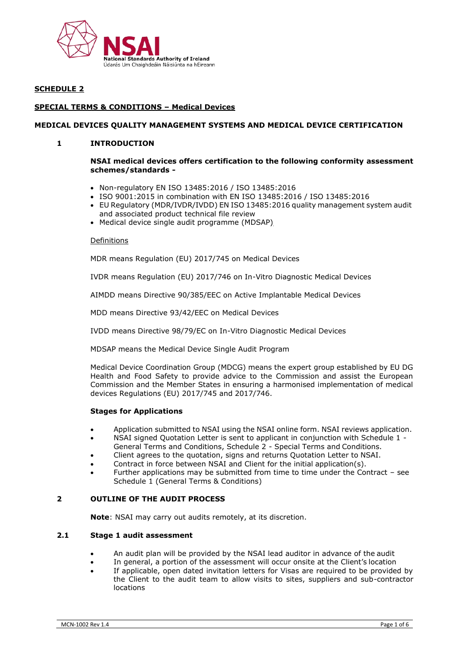

## **SCHEDULE 2**

## **SPECIAL TERMS & CONDITIONS – Medical Devices**

## **MEDICAL DEVICES QUALITY MANAGEMENT SYSTEMS AND MEDICAL DEVICE CERTIFICATION**

## **1 INTRODUCTION**

#### **NSAI medical devices offers certification to the following conformity assessment schemes/standards -**

- Non-regulatory EN ISO 13485:2016 / ISO 13485:2016
- ISO 9001:2015 in combination with EN ISO 13485:2016 / ISO 13485:2016
- EU Regulatory (MDR/IVDR/IVDD) EN ISO 13485:2016 quality management system audit and associated product technical file review
- Medical device single audit programme (MDSAP)

#### **Definitions**

MDR means Regulation (EU) 2017/745 on Medical Devices

IVDR means Regulation (EU) 2017/746 on In-Vitro Diagnostic Medical Devices

AIMDD means Directive 90/385/EEC on Active Implantable Medical Devices

MDD means Directive 93/42/EEC on Medical Devices

IVDD means Directive 98/79/EC on In-Vitro Diagnostic Medical Devices

MDSAP means the Medical Device Single Audit Program

Medical Device Coordination Group (MDCG) means the expert group established by EU DG Health and Food Safety to provide advice to the Commission and assist the European Commission and the Member States in ensuring a harmonised implementation of medical devices Regulations (EU) 2017/745 and 2017/746.

#### **Stages for Applications**

- Application submitted to NSAI using the NSAI online form. NSAI reviews application.
- NSAI signed Quotation Letter is sent to applicant in conjunction with Schedule 1 General Terms and Conditions, Schedule 2 - Special Terms and Conditions.
- Client agrees to the quotation, signs and returns Quotation Letter to NSAI.
- Contract in force between NSAI and Client for the initial application(s).
- Further applications may be submitted from time to time under the Contract see Schedule 1 (General Terms & Conditions)

#### **2 OUTLINE OF THE AUDIT PROCESS**

**Note**: NSAI may carry out audits remotely, at its discretion.

### **2.1 Stage 1 audit assessment**

- An audit plan will be provided by the NSAI lead auditor in advance of the audit
- In general, a portion of the assessment will occur onsite at the Client's location
- If applicable, open dated invitation letters for Visas are required to be provided by the Client to the audit team to allow visits to sites, suppliers and sub-contractor locations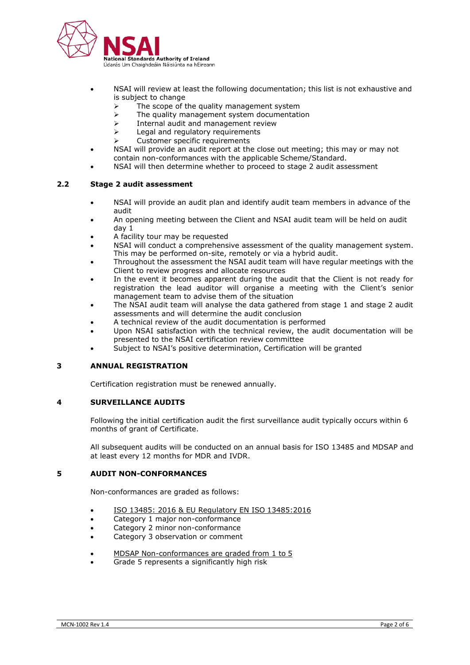

- NSAI will review at least the following documentation; this list is not exhaustive and is subject to change
	- The scope of the quality management system
	- ➢ The quality management system documentation
	- $\triangleright$  Internal audit and management review
	- ➢ Legal and regulatory requirements
	- ➢ Customer specific requirements
- NSAI will provide an audit report at the close out meeting; this may or may not contain non-conformances with the applicable Scheme/Standard.
- NSAI will then determine whether to proceed to stage 2 audit assessment

## **2.2 Stage 2 audit assessment**

- NSAI will provide an audit plan and identify audit team members in advance of the audit
- An opening meeting between the Client and NSAI audit team will be held on audit day 1
- A facility tour may be requested
- NSAI will conduct a comprehensive assessment of the quality management system. This may be performed on-site, remotely or via a hybrid audit.
- Throughout the assessment the NSAI audit team will have regular meetings with the Client to review progress and allocate resources
- In the event it becomes apparent during the audit that the Client is not ready for registration the lead auditor will organise a meeting with the Client's senior management team to advise them of the situation
- The NSAI audit team will analyse the data gathered from stage 1 and stage 2 audit assessments and will determine the audit conclusion
- A technical review of the audit documentation is performed
- Upon NSAI satisfaction with the technical review, the audit documentation will be presented to the NSAI certification review committee
- Subject to NSAI's positive determination, Certification will be granted

### **3 ANNUAL REGISTRATION**

Certification registration must be renewed annually.

## **4 SURVEILLANCE AUDITS**

Following the initial certification audit the first surveillance audit typically occurs within 6 months of grant of Certificate.

All subsequent audits will be conducted on an annual basis for ISO 13485 and MDSAP and at least every 12 months for MDR and IVDR.

### **5 AUDIT NON-CONFORMANCES**

Non-conformances are graded as follows:

- ISO 13485: 2016 & EU Regulatory EN ISO 13485:2016
- Category 1 major non-conformance
- Category 2 minor non-conformance
- Category 3 observation or comment
- MDSAP Non-conformances are graded from 1 to 5
- Grade 5 represents a significantly high risk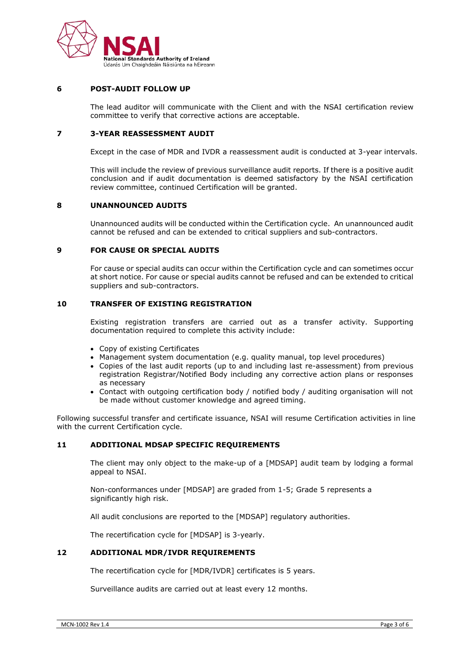

### **6 POST-AUDIT FOLLOW UP**

The lead auditor will communicate with the Client and with the NSAI certification review committee to verify that corrective actions are acceptable.

## **7 3-YEAR REASSESSMENT AUDIT**

Except in the case of MDR and IVDR a reassessment audit is conducted at 3-year intervals.

This will include the review of previous surveillance audit reports. If there is a positive audit conclusion and if audit documentation is deemed satisfactory by the NSAI certification review committee, continued Certification will be granted.

## **8 UNANNOUNCED AUDITS**

Unannounced audits will be conducted within the Certification cycle. An unannounced audit cannot be refused and can be extended to critical suppliers and sub-contractors.

#### **9 FOR CAUSE OR SPECIAL AUDITS**

For cause or special audits can occur within the Certification cycle and can sometimes occur at short notice. For cause or special audits cannot be refused and can be extended to critical suppliers and sub-contractors.

#### **10 TRANSFER OF EXISTING REGISTRATION**

Existing registration transfers are carried out as a transfer activity. Supporting documentation required to complete this activity include:

- Copy of existing Certificates
- Management system documentation (e.g. quality manual, top level procedures)
- Copies of the last audit reports (up to and including last re-assessment) from previous registration Registrar/Notified Body including any corrective action plans or responses as necessary
- Contact with outgoing certification body / notified body / auditing organisation will not be made without customer knowledge and agreed timing.

Following successful transfer and certificate issuance, NSAI will resume Certification activities in line with the current Certification cycle.

## **11 ADDITIONAL MDSAP SPECIFIC REQUIREMENTS**

The client may only object to the make-up of a [MDSAP] audit team by lodging a formal appeal to NSAI.

Non-conformances under [MDSAP] are graded from 1-5; Grade 5 represents a significantly high risk.

All audit conclusions are reported to the [MDSAP] regulatory authorities.

The recertification cycle for [MDSAP] is 3-yearly.

## **12 ADDITIONAL MDR/IVDR REQUIREMENTS**

The recertification cycle for [MDR/IVDR] certificates is 5 years.

Surveillance audits are carried out at least every 12 months.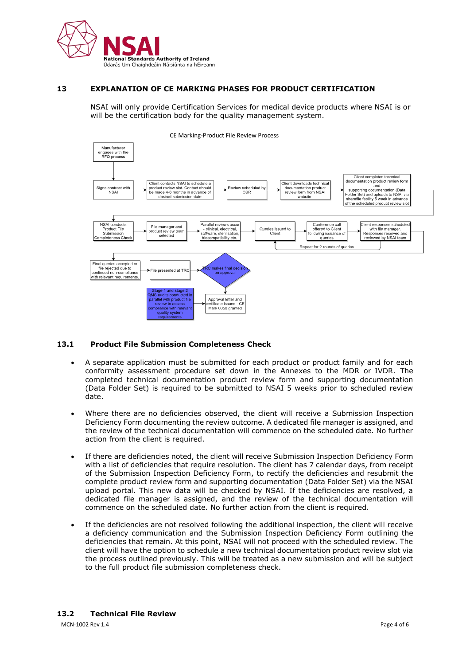

#### **13 EXPLANATION OF CE MARKING PHASES FOR PRODUCT CERTIFICATION**

NSAI will only provide Certification Services for medical device products where NSAI is or will be the certification body for the quality management system.



### **13.1 Product File Submission Completeness Check**

- A separate application must be submitted for each product or product family and for each conformity assessment procedure set down in the Annexes to the MDR or IVDR. The completed technical documentation product review form and supporting documentation (Data Folder Set) is required to be submitted to NSAI 5 weeks prior to scheduled review date.
- Where there are no deficiencies observed, the client will receive a Submission Inspection Deficiency Form documenting the review outcome. A dedicated file manager is assigned, and the review of the technical documentation will commence on the scheduled date. No further action from the client is required.
- If there are deficiencies noted, the client will receive Submission Inspection Deficiency Form with a list of deficiencies that require resolution. The client has 7 calendar days, from receipt of the Submission Inspection Deficiency Form, to rectify the deficiencies and resubmit the complete product review form and supporting documentation (Data Folder Set) via the NSAI upload portal. This new data will be checked by NSAI. If the deficiencies are resolved, a dedicated file manager is assigned, and the review of the technical documentation will commence on the scheduled date. No further action from the client is required.
- If the deficiencies are not resolved following the additional inspection, the client will receive a deficiency communication and the Submission Inspection Deficiency Form outlining the deficiencies that remain. At this point, NSAI will not proceed with the scheduled review. The client will have the option to schedule a new technical documentation product review slot via the process outlined previously. This will be treated as a new submission and will be subject to the full product file submission completeness check.

## **13.2 Technical File Review**

MCN-1002 Rev 1.4 Page 4 of 6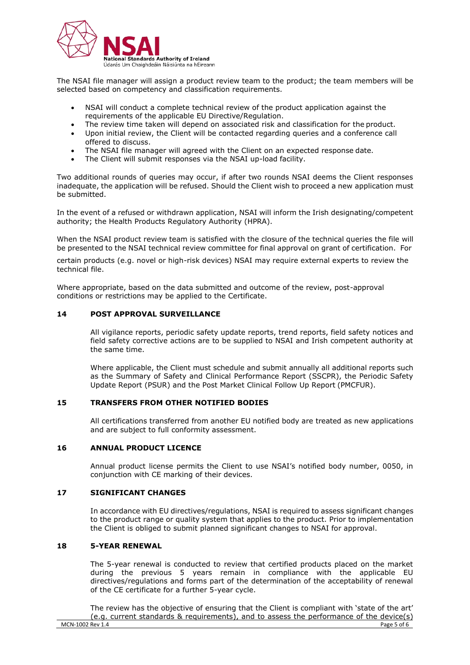

The NSAI file manager will assign a product review team to the product; the team members will be selected based on competency and classification requirements.

- NSAI will conduct a complete technical review of the product application against the requirements of the applicable EU Directive/Regulation.
- The review time taken will depend on associated risk and classification for the product.
- Upon initial review, the Client will be contacted regarding queries and a conference call offered to discuss.
- The NSAI file manager will agreed with the Client on an expected response date.
- The Client will submit responses via the NSAI up-load facility.

Two additional rounds of queries may occur, if after two rounds NSAI deems the Client responses inadequate, the application will be refused. Should the Client wish to proceed a new application must be submitted.

In the event of a refused or withdrawn application, NSAI will inform the Irish designating/competent authority; the Health Products Regulatory Authority (HPRA).

When the NSAI product review team is satisfied with the closure of the technical queries the file will be presented to the NSAI technical review committee for final approval on grant of certification. For

certain products (e.g. novel or high-risk devices) NSAI may require external experts to review the technical file.

Where appropriate, based on the data submitted and outcome of the review, post-approval conditions or restrictions may be applied to the Certificate.

### **14 POST APPROVAL SURVEILLANCE**

All vigilance reports, periodic safety update reports, trend reports, field safety notices and field safety corrective actions are to be supplied to NSAI and Irish competent authority at the same time.

Where applicable, the Client must schedule and submit annually all additional reports such as the Summary of Safety and Clinical Performance Report (SSCPR), the Periodic Safety Update Report (PSUR) and the Post Market Clinical Follow Up Report (PMCFUR).

### **15 TRANSFERS FROM OTHER NOTIFIED BODIES**

All certifications transferred from another EU notified body are treated as new applications and are subject to full conformity assessment.

### **16 ANNUAL PRODUCT LICENCE**

Annual product license permits the Client to use NSAI's notified body number, 0050, in conjunction with CE marking of their devices.

## **17 SIGNIFICANT CHANGES**

In accordance with EU directives/regulations, NSAI is required to assess significant changes to the product range or quality system that applies to the product. Prior to implementation the Client is obliged to submit planned significant changes to NSAI for approval.

#### **18 5-YEAR RENEWAL**

The 5-year renewal is conducted to review that certified products placed on the market during the previous 5 years remain in compliance with the applicable EU directives/regulations and forms part of the determination of the acceptability of renewal of the CE certificate for a further 5-year cycle.

MCN-1002 Rev 1.4 Page 5 of 6 The review has the objective of ensuring that the Client is compliant with 'state of the art' (e.g. current standards & requirements), and to assess the performance of the device(s)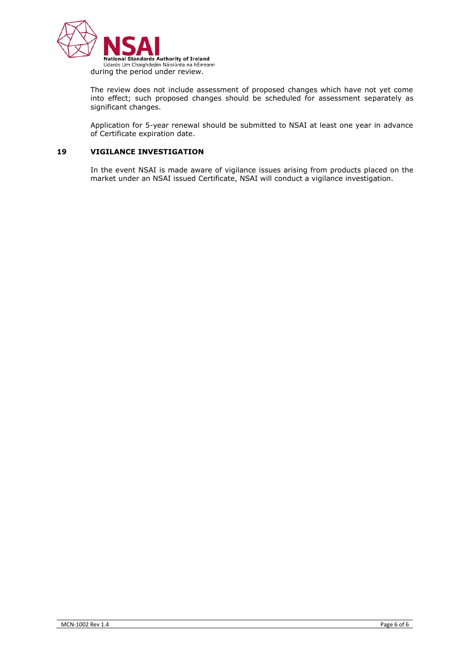

The review does not include assessment of proposed changes which have not yet come into effect; such proposed changes should be scheduled for assessment separately as significant changes.

Application for 5-year renewal should be submitted to NSAI at least one year in advance of Certificate expiration date.

# **19 VIGILANCE INVESTIGATION**

In the event NSAI is made aware of vigilance issues arising from products placed on the market under an NSAI issued Certificate, NSAI will conduct a vigilance investigation.